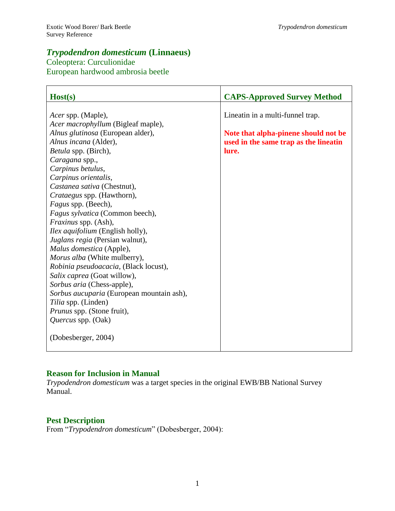# *Trypodendron domesticum* **(Linnaeus)**

Coleoptera: Curculionidae European hardwood ambrosia beetle

| Host(s)                                   | <b>CAPS-Approved Survey Method</b>    |
|-------------------------------------------|---------------------------------------|
|                                           |                                       |
| Acer spp. (Maple),                        | Lineatin in a multi-funnel trap.      |
| Acer macrophyllum (Bigleaf maple),        |                                       |
| Alnus glutinosa (European alder),         | Note that alpha-pinene should not be  |
| Alnus incana (Alder),                     | used in the same trap as the lineatin |
| <i>Betula</i> spp. (Birch),               | lure.                                 |
| Caragana spp.,                            |                                       |
| Carpinus betulus,                         |                                       |
| Carpinus orientalis,                      |                                       |
| Castanea sativa (Chestnut),               |                                       |
| Crataegus spp. (Hawthorn),                |                                       |
| Fagus spp. (Beech),                       |                                       |
| Fagus sylvatica (Common beech),           |                                       |
| <i>Fraxinus</i> spp. (Ash),               |                                       |
| <i>Ilex aquifolium</i> (English holly),   |                                       |
| Juglans regia (Persian walnut),           |                                       |
| Malus domestica (Apple),                  |                                       |
| Morus alba (White mulberry),              |                                       |
| Robinia pseudoacacia, (Black locust),     |                                       |
| Salix caprea (Goat willow),               |                                       |
| Sorbus aria (Chess-apple),                |                                       |
| Sorbus aucuparia (European mountain ash), |                                       |
| Tilia spp. (Linden)                       |                                       |
| Prunus spp. (Stone fruit),                |                                       |
| Quercus spp. (Oak)                        |                                       |
| (Dobesberger, 2004)                       |                                       |

# **Reason for Inclusion in Manual**

*Trypodendron domesticum* was a target species in the original EWB/BB National Survey Manual.

# **Pest Description**

From "*Trypodendron domesticum*" (Dobesberger, 2004):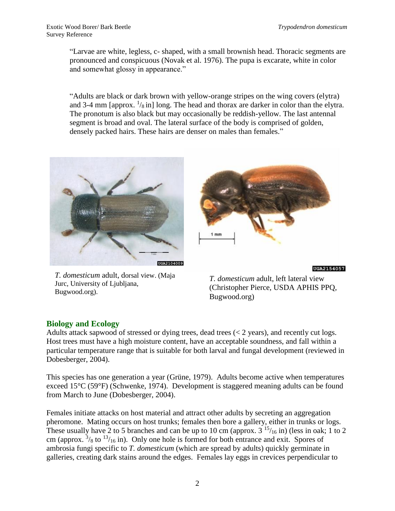"Larvae are white, legless, c- shaped, with a small brownish head. Thoracic segments are pronounced and conspicuous (Novak et al. 1976). The pupa is excarate, white in color and somewhat glossy in appearance."

"Adults are black or dark brown with yellow-orange stripes on the wing covers (elytra) and 3-4 mm [approx.  $\frac{1}{8}$  in] long. The head and thorax are darker in color than the elytra. The pronotum is also black but may occasionally be reddish-yellow. The last antennal segment is broad and oval. The lateral surface of the body is comprised of golden, densely packed hairs. These hairs are denser on males than females."



*T. domesticum* adult, dorsal view. (Maja Jurc, University of Ljubljana, Bugwood.org).



UGA2154057

*T. domesticum* adult, left lateral view (Christopher Pierce, USDA APHIS PPQ, Bugwood.org)

# **Biology and Ecology**

Adults attack sapwood of stressed or dying trees, dead trees (< 2 years), and recently cut logs. Host trees must have a high moisture content, have an acceptable soundness, and fall within a particular temperature range that is suitable for both larval and fungal development (reviewed in Dobesberger, 2004).

This species has one generation a year (Grüne, 1979). Adults become active when temperatures exceed 15°C (59°F) (Schwenke, 1974). Development is staggered meaning adults can be found from March to June (Dobesberger, 2004).

Females initiate attacks on host material and attract other adults by secreting an aggregation pheromone. Mating occurs on host trunks; females then bore a gallery, either in trunks or logs. These usually have 2 to 5 branches and can be up to 10 cm (approx.  $3^{15}/_{16}$  in) (less in oak; 1 to 2 cm (approx.  $\frac{3}{8}$  to  $\frac{13}{16}$  in). Only one hole is formed for both entrance and exit. Spores of ambrosia fungi specific to *T. domesticum* (which are spread by adults) quickly germinate in galleries, creating dark stains around the edges. Females lay eggs in crevices perpendicular to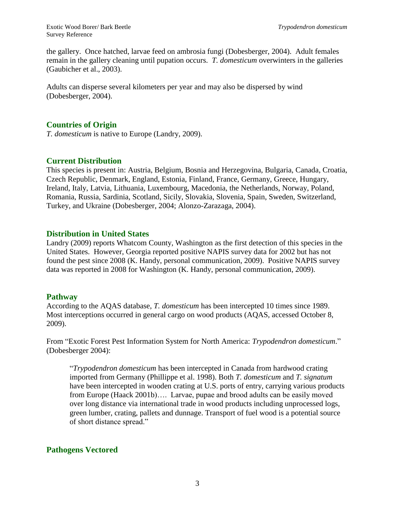the gallery. Once hatched, larvae feed on ambrosia fungi (Dobesberger, 2004). Adult females remain in the gallery cleaning until pupation occurs. *T. domesticum* overwinters in the galleries (Gaubicher et al., 2003).

Adults can disperse several kilometers per year and may also be dispersed by wind (Dobesberger, 2004).

## **Countries of Origin**

*T. domesticum* is native to Europe (Landry, 2009).

#### **Current Distribution**

This species is present in: Austria, Belgium, Bosnia and Herzegovina, Bulgaria, Canada, Croatia, Czech Republic, Denmark, England, Estonia, Finland, France, Germany, Greece, Hungary, Ireland, Italy, Latvia, Lithuania, Luxembourg, Macedonia, the Netherlands, Norway, Poland, Romania, Russia, Sardinia, Scotland, Sicily, Slovakia, Slovenia, Spain, Sweden, Switzerland, Turkey, and Ukraine (Dobesberger, 2004; Alonzo-Zarazaga, 2004).

#### **Distribution in United States**

Landry (2009) reports Whatcom County, Washington as the first detection of this species in the United States. However, Georgia reported positive NAPIS survey data for 2002 but has not found the pest since 2008 (K. Handy, personal communication, 2009). Positive NAPIS survey data was reported in 2008 for Washington (K. Handy, personal communication, 2009).

#### **Pathway**

According to the AQAS database, *T. domesticum* has been intercepted 10 times since 1989. Most interceptions occurred in general cargo on wood products (AQAS, accessed October 8, 2009).

From "Exotic Forest Pest Information System for North America: *Trypodendron domesticum*." (Dobesberger 2004):

"*Trypodendron domesticum* has been intercepted in Canada from hardwood crating imported from Germany (Phillippe et al. 1998). Both *T. domesticum* and *T. signatum*  have been intercepted in wooden crating at U.S. ports of entry, carrying various products from Europe (Haack 2001b)…. Larvae, pupae and brood adults can be easily moved over long distance via international trade in wood products including unprocessed logs, green lumber, crating, pallets and dunnage. Transport of fuel wood is a potential source of short distance spread."

# **Pathogens Vectored**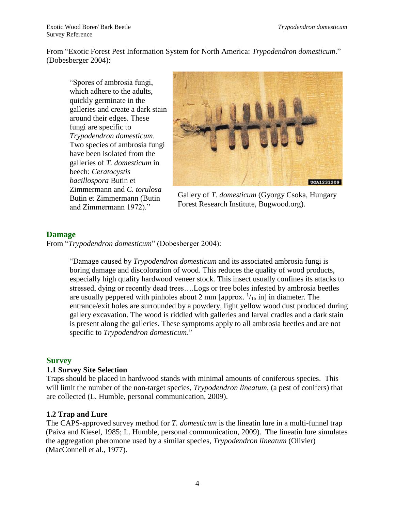From "Exotic Forest Pest Information System for North America: *Trypodendron domesticum*." (Dobesberger 2004):

"Spores of ambrosia fungi, which adhere to the adults, quickly germinate in the galleries and create a dark stain around their edges. These fungi are specific to *Trypodendron domesticum*. Two species of ambrosia fungi have been isolated from the galleries of *T. domesticum* in beech: *Ceratocystis bacillospora* Butin et Zimmermann and *C. torulosa*  Butin et Zimmermann (Butin and Zimmermann 1972)."



Gallery of *T. domesticum* (Gyorgy Csoka, Hungary Forest Research Institute, Bugwood.org).

# **Damage**

From "*Trypodendron domesticum*" (Dobesberger 2004):

"Damage caused by *Trypodendron domesticum* and its associated ambrosia fungi is boring damage and discoloration of wood. This reduces the quality of wood products, especially high quality hardwood veneer stock. This insect usually confines its attacks to stressed, dying or recently dead trees….Logs or tree boles infested by ambrosia beetles are usually peppered with pinholes about 2 mm [approx.  $\frac{1}{16}$  in] in diameter. The entrance/exit holes are surrounded by a powdery, light yellow wood dust produced during gallery excavation. The wood is riddled with galleries and larval cradles and a dark stain is present along the galleries. These symptoms apply to all ambrosia beetles and are not specific to *Trypodendron domesticum*."

# **Survey**

#### **1.1 Survey Site Selection**

Traps should be placed in hardwood stands with minimal amounts of coniferous species. This will limit the number of the non-target species, *Trypodendron lineatum,* (a pest of conifers) that are collected (L. Humble, personal communication, 2009).

#### **1.2 Trap and Lure**

The CAPS-approved survey method for *T. domesticum* is the lineatin lure in a multi-funnel trap (Paiva and Kiesel, 1985; L. Humble, personal communication, 2009). The lineatin lure simulates the aggregation pheromone used by a similar species, *Trypodendron lineatum* (Olivier) (MacConnell et al., 1977).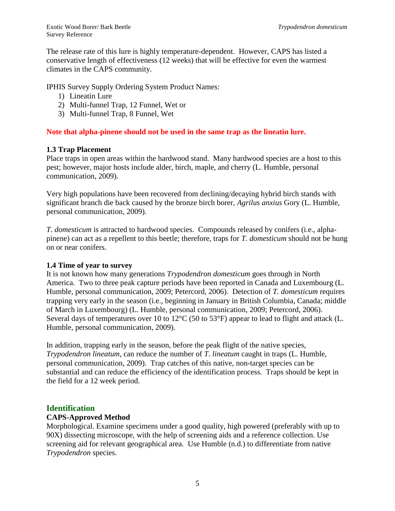The release rate of this lure is highly temperature-dependent. However, CAPS has listed a conservative length of effectiveness (12 weeks) that will be effective for even the warmest climates in the CAPS community.

IPHIS Survey Supply Ordering System Product Names:

- 1) Lineatin Lure
- 2) Multi-funnel Trap, 12 Funnel, Wet or
- 3) Multi-funnel Trap, 8 Funnel, Wet

## **Note that alpha-pinene should not be used in the same trap as the lineatin lure.**

#### **1.3 Trap Placement**

Place traps in open areas within the hardwood stand. Many hardwood species are a host to this pest; however, major hosts include alder, birch, maple, and cherry (L. Humble, personal communication, 2009).

Very high populations have been recovered from declining/decaying hybrid birch stands with significant branch die back caused by the bronze birch borer, *Agrilus anxius* Gory (L. Humble, personal communication, 2009).

*T. domesticum* is attracted to hardwood species. Compounds released by conifers (i.e., alphapinene) can act as a repellent to this beetle; therefore, traps for *T. domesticum* should not be hung on or near conifers.

#### **1.4 Time of year to survey**

It is not known how many generations *Trypodendron domesticum* goes through in North America.Two to three peak capture periods have been reported in Canada and Luxembourg (L. Humble, personal communication, 2009; Petercord, 2006). Detection of *T. domesticum* requires trapping very early in the season (i.e., beginning in January in British Columbia, Canada; middle of March in Luxembourg) (L. Humble, personal communication, 2009; Petercord, 2006). Several days of temperatures over 10 to 12°C (50 to 53°F) appear to lead to flight and attack (L. Humble, personal communication, 2009).

In addition, trapping early in the season, before the peak flight of the native species, *Trypodendron lineatum*, can reduce the number of *T. lineatum* caught in traps (L. Humble, personal communication, 2009). Trap catches of this native, non-target species can be substantial and can reduce the efficiency of the identification process. Traps should be kept in the field for a 12 week period.

# **Identification**

#### **CAPS-Approved Method**

Morphological. Examine specimens under a good quality, high powered (preferably with up to 90X) dissecting microscope, with the help of screening aids and a reference collection. Use screening aid for relevant geographical area. Use Humble (n.d.) to differentiate from native *Trypodendron* species.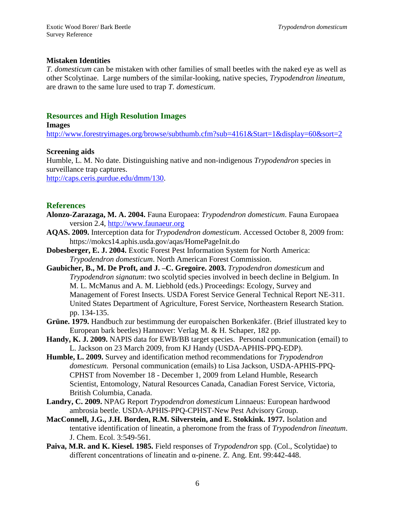#### **Mistaken Identities**

*T. domesticum* can be mistaken with other families of small beetles with the naked eye as well as other Scolytinae. Large numbers of the similar-looking, native species, *Trypodendron lineatum*, are drawn to the same lure used to trap *T. domesticum*.

## **Resources and High Resolution Images**

**Images**

<http://www.forestryimages.org/browse/subthumb.cfm?sub=4161&Start=1&display=60&sort=2>

#### **Screening aids**

Humble, L. M. No date. Distinguishing native and non-indigenous *Trypodendron* species in surveillance trap captures.

[http://caps.ceris.purdue.edu/dmm/130.](http://caps.ceris.purdue.edu/dmm/130)

#### **References**

- **Alonzo-Zarazaga, M. A. 2004.** Fauna Europaea: *Trypodendron domesticum*. Fauna Europaea version 2.4, [http://www.faunaeur.org](http://www.faunaeur.org/)
- **AQAS. 2009.** Interception data for *Trypodendron domesticum*. Accessed October 8, 2009 from: https://mokcs14.aphis.usda.gov/aqas/HomePageInit.do
- **Dobesberger, E. J. 2004.** Exotic Forest Pest Information System for North America: *Trypodendron domesticum*. North American Forest Commission.
- **Gaubicher, B., M. De Proft, and J. –C. Gregoire. 2003.** *Trypodendron domesticum* and *Trypodendron signatum*: two scolytid species involved in beech decline in Belgium. In M. L. McManus and A. M. Liebhold (eds.) Proceedings: Ecology, Survey and Management of Forest Insects. USDA Forest Service General Technical Report NE-311. United States Department of Agriculture, Forest Service, Northeastern Research Station. pp. 134-135.
- **Grüne. 1979.** Handbuch zur bestimmung der europaischen Borkenkäfer. (Brief illustrated key to European bark beetles) Hannover: Verlag M. & H. Schaper, 182 pp.
- **Handy, K. J. 2009.** NAPIS data for EWB/BB target species.Personal communication (email) to L. Jackson on 23 March 2009, from KJ Handy (USDA-APHIS-PPQ-EDP).
- **Humble, L. 2009.** Survey and identification method recommendations for *Trypodendron domesticum.* Personal communication (emails) to Lisa Jackson, USDA-APHIS-PPQ-CPHST from November 18 - December 1, 2009 from Leland Humble, Research Scientist, Entomology, Natural Resources Canada, Canadian Forest Service, Victoria, British Columbia, Canada.
- **Landry, C. 2009.** NPAG Report *Trypodendron domesticum* Linnaeus: European hardwood ambrosia beetle. USDA-APHIS-PPQ-CPHST-New Pest Advisory Group.
- **MacConnell, J.G., J.H. Borden, R.M. Silverstein, and E. Stokkink. 1977.** Isolation and tentative identification of lineatin, a pheromone from the frass of *Trypodendron lineatum*. J. Chem. Ecol. 3:549-561.
- **Paiva, M.R. and K. Kiesel. 1985.** Field responses of *Trypodendron* spp. (Col., Scolytidae) to different concentrations of lineatin and α-pinene. Z. Ang. Ent. 99:442-448.